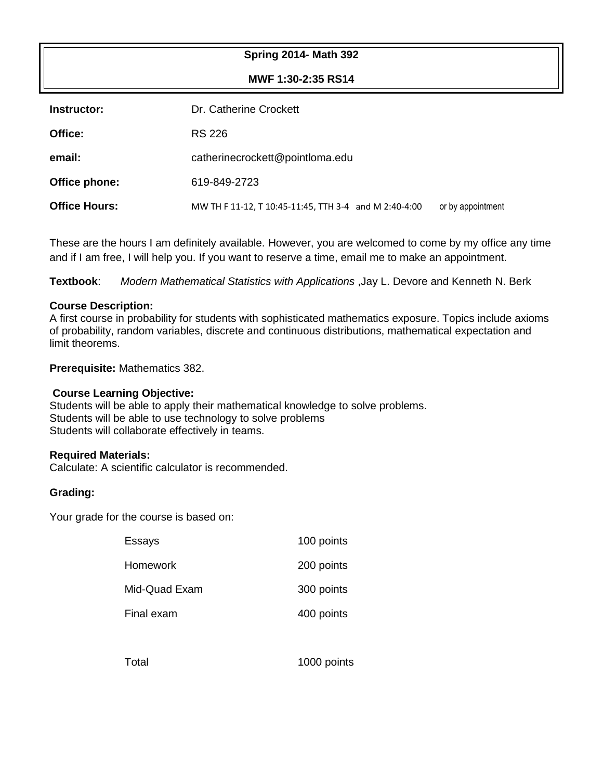### **Spring 2014- Math 392**

**MWF 1:30-2:35 RS14**

| Instructor:          | Dr. Catherine Crockett                                |                   |  |
|----------------------|-------------------------------------------------------|-------------------|--|
| Office:              | RS 226                                                |                   |  |
| email:               | catherinecrockett@pointloma.edu                       |                   |  |
| Office phone:        | 619-849-2723                                          |                   |  |
| <b>Office Hours:</b> | MW TH F 11-12, T 10:45-11:45, TTH 3-4 and M 2:40-4:00 | or by appointment |  |

These are the hours I am definitely available. However, you are welcomed to come by my office any time and if I am free, I will help you. If you want to reserve a time, email me to make an appointment.

**Textbook**: *Modern Mathematical Statistics with Applications* ,Jay L. Devore and Kenneth N. Berk

#### **Course Description:**

A first course in probability for students with sophisticated mathematics exposure. Topics include axioms of probability, random variables, discrete and continuous distributions, mathematical expectation and limit theorems.

**Prerequisite:** Mathematics 382.

#### **Course Learning Objective:**

Students will be able to apply their mathematical knowledge to solve problems. Students will be able to use technology to solve problems Students will collaborate effectively in teams.

#### **Required Materials:**

Calculate: A scientific calculator is recommended.

#### **Grading:**

Your grade for the course is based on:

| Essays        | 100 points |
|---------------|------------|
| Homework      | 200 points |
| Mid-Quad Exam | 300 points |
| Final exam    | 400 points |
|               |            |

Total 1000 points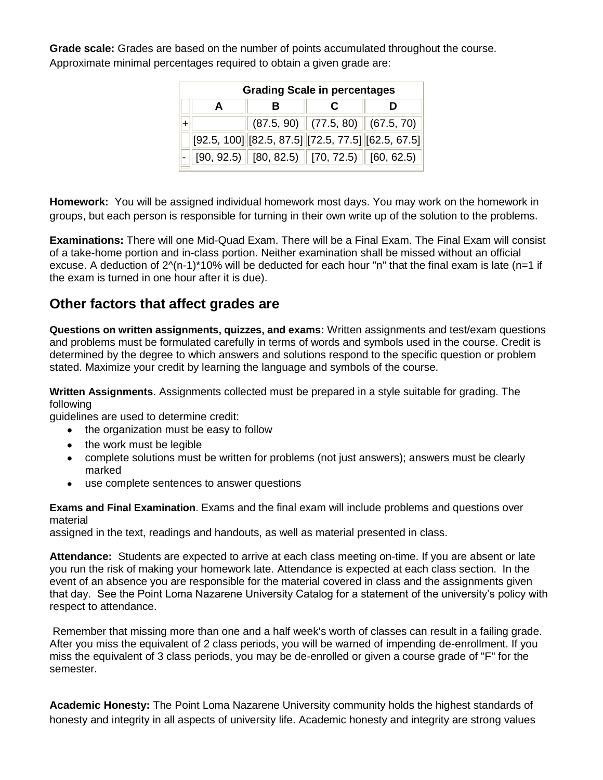**Grade scale:** Grades are based on the number of points accumulated throughout the course. Approximate minimal percentages required to obtain a given grade are:

| <b>Grading Scale in percentages</b> |   |   |                                                                                                  |  |  |  |
|-------------------------------------|---|---|--------------------------------------------------------------------------------------------------|--|--|--|
|                                     | в | С |                                                                                                  |  |  |  |
|                                     |   |   | $(87.5, 90)$ $(77.5, 80)$ $(67.5, 70)$                                                           |  |  |  |
|                                     |   |   | $[92.5, 100]$ $[82.5, 87.5]$ $[72.5, 77.5]$ $[62.5, 67.5]$                                       |  |  |  |
|                                     |   |   | $\vert\text{-}\Vert$ [90, 92.5) $\Vert$ [80, 82.5) $\Vert$ [70, 72.5) $\Vert$ [60, 62.5) $\Vert$ |  |  |  |

**Homework:** You will be assigned individual homework most days. You may work on the homework in groups, but each person is responsible for turning in their own write up of the solution to the problems.

**Examinations:** There will one Mid-Quad Exam. There will be a Final Exam. The Final Exam will consist of a take-home portion and in-class portion. Neither examination shall be missed without an official excuse. A deduction of 2^(n-1)\*10% will be deducted for each hour "n" that the final exam is late (n=1 if the exam is turned in one hour after it is due).

# **Other factors that affect grades are**

**Questions on written assignments, quizzes, and exams:** Written assignments and test/exam questions and problems must be formulated carefully in terms of words and symbols used in the course. Credit is determined by the degree to which answers and solutions respond to the specific question or problem stated. Maximize your credit by learning the language and symbols of the course.

**Written Assignments**. Assignments collected must be prepared in a style suitable for grading. The following

guidelines are used to determine credit:

- the organization must be easy to follow
- the work must be legible
- complete solutions must be written for problems (not just answers); answers must be clearly marked
- use complete sentences to answer questions

**Exams and Final Examination**. Exams and the final exam will include problems and questions over material

assigned in the text, readings and handouts, as well as material presented in class.

**Attendance:** Students are expected to arrive at each class meeting on-time. If you are absent or late you run the risk of making your homework late. Attendance is expected at each class section. In the event of an absence you are responsible for the material covered in class and the assignments given that day. See the Point Loma Nazarene University Catalog for a statement of the university's policy with respect to attendance.

Remember that missing more than one and a half week's worth of classes can result in a failing grade. After you miss the equivalent of 2 class periods, you will be warned of impending de-enrollment. If you miss the equivalent of 3 class periods, you may be de-enrolled or given a course grade of "F" for the semester.

**Academic Honesty:** The Point Loma Nazarene University community holds the highest standards of honesty and integrity in all aspects of university life. Academic honesty and integrity are strong values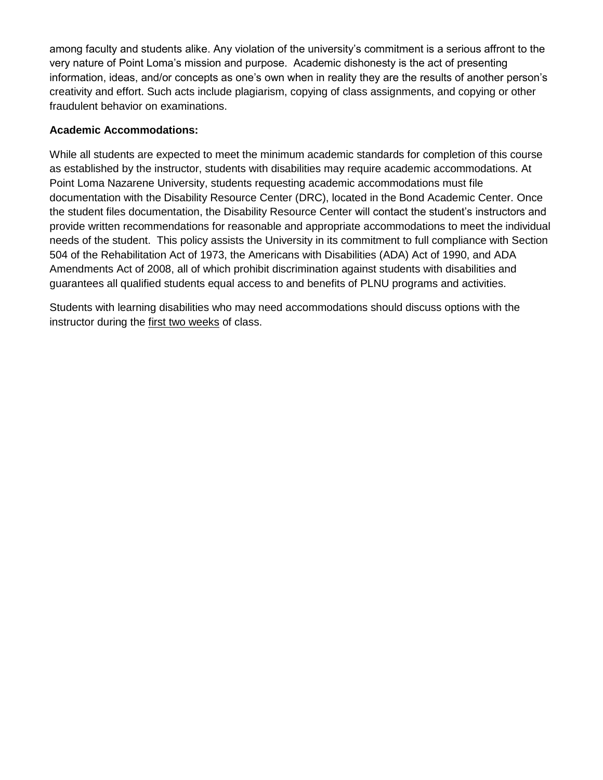among faculty and students alike. Any violation of the university's commitment is a serious affront to the very nature of Point Loma's mission and purpose. Academic dishonesty is the act of presenting information, ideas, and/or concepts as one's own when in reality they are the results of another person's creativity and effort. Such acts include plagiarism, copying of class assignments, and copying or other fraudulent behavior on examinations.

## **Academic Accommodations:**

While all students are expected to meet the minimum academic standards for completion of this course as established by the instructor, students with disabilities may require academic accommodations. At Point Loma Nazarene University, students requesting academic accommodations must file documentation with the Disability Resource Center (DRC), located in the Bond Academic Center. Once the student files documentation, the Disability Resource Center will contact the student's instructors and provide written recommendations for reasonable and appropriate accommodations to meet the individual needs of the student. This policy assists the University in its commitment to full compliance with Section 504 of the Rehabilitation Act of 1973, the Americans with Disabilities (ADA) Act of 1990, and ADA Amendments Act of 2008, all of which prohibit discrimination against students with disabilities and guarantees all qualified students equal access to and benefits of PLNU programs and activities.

Students with learning disabilities who may need accommodations should discuss options with the instructor during the first two weeks of class.